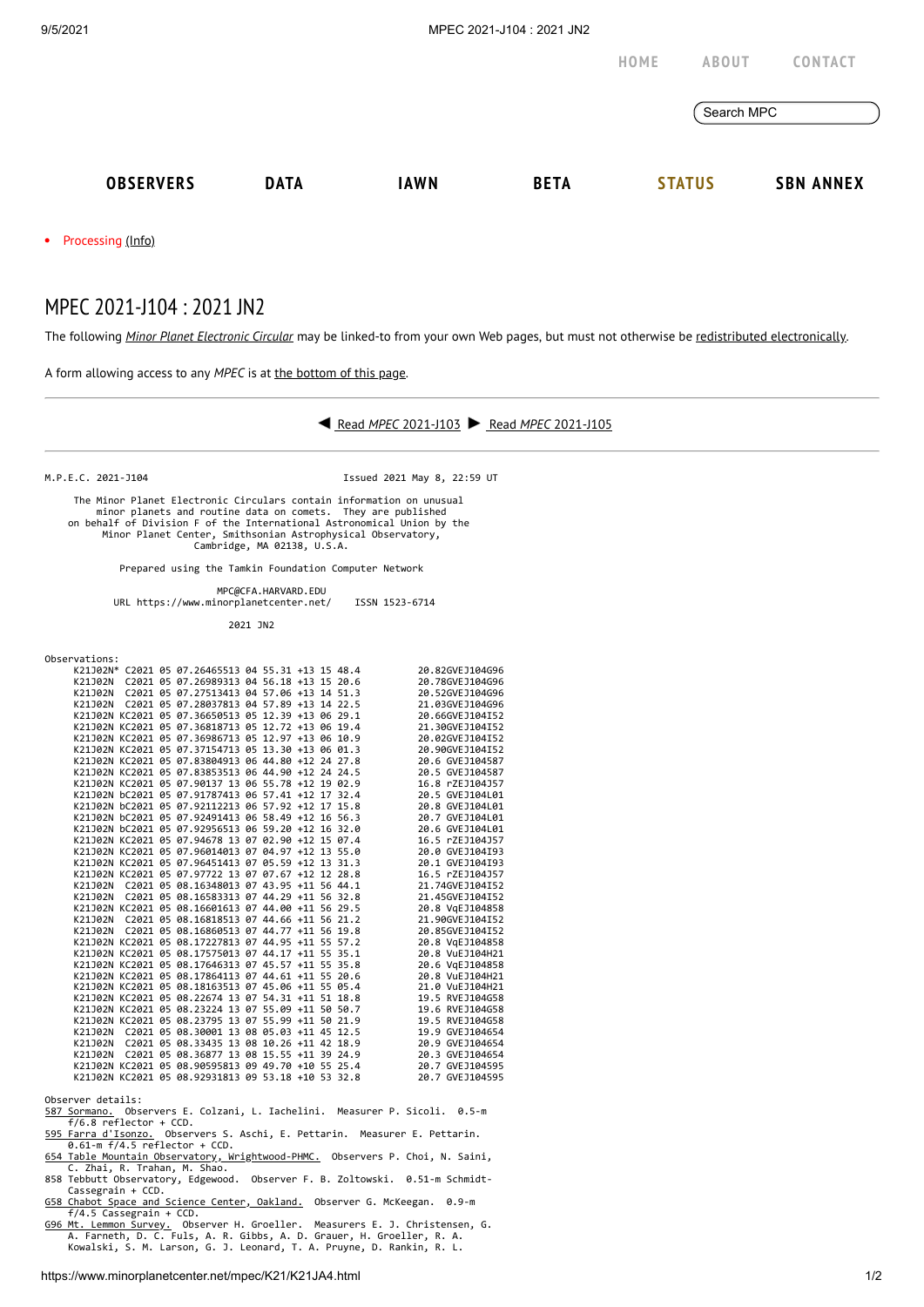

The following *Minor Planet [Electronic](https://www.minorplanetcenter.net/iau/services/MPEC.html) Circular* may be linked-to from your own Web pages, but must not otherwise be redistributed [electronically](https://www.minorplanetcenter.net/iau/WWWPolicy.html).



Chabot Space and Science Center, Oakland. Observer G. McKeegan. 0.9-m

f/4.5 Cassegrain + CCD.<br><u>[G96 Mt. Lemmon Survey.](http://www.lpl.arizona.edu/css/)</u> Observer H. Groeller. Measurers E. J. Christensen, G.<br>A. Farneth, D. C. Fuls, A. R. Gibbs, A. D. Grauer, H. Groeller, R. A.<br>Kowalski, S. M. Larson, G. J. Leonard, T. A. Pruy